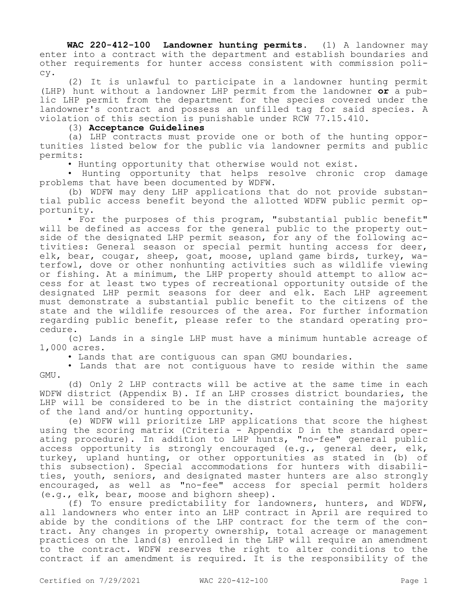**WAC 220-412-100 Landowner hunting permits.** (1) A landowner may enter into a contract with the department and establish boundaries and other requirements for hunter access consistent with commission policy.

(2) It is unlawful to participate in a landowner hunting permit (LHP) hunt without a landowner LHP permit from the landowner **or** a public LHP permit from the department for the species covered under the landowner's contract and possess an unfilled tag for said species. A violation of this section is punishable under RCW 77.15.410.

(3) **Acceptance Guidelines**

(a) LHP contracts must provide one or both of the hunting opportunities listed below for the public via landowner permits and public permits:

• Hunting opportunity that otherwise would not exist.

• Hunting opportunity that helps resolve chronic crop damage problems that have been documented by WDFW.

(b) WDFW may deny LHP applications that do not provide substantial public access benefit beyond the allotted WDFW public permit opportunity.

• For the purposes of this program, "substantial public benefit" will be defined as access for the general public to the property outside of the designated LHP permit season, for any of the following activities: General season or special permit hunting access for deer, elk, bear, cougar, sheep, goat, moose, upland game birds, turkey, waterfowl, dove or other nonhunting activities such as wildlife viewing or fishing. At a minimum, the LHP property should attempt to allow access for at least two types of recreational opportunity outside of the designated LHP permit seasons for deer and elk. Each LHP agreement must demonstrate a substantial public benefit to the citizens of the state and the wildlife resources of the area. For further information regarding public benefit, please refer to the standard operating procedure.

(c) Lands in a single LHP must have a minimum huntable acreage of 1,000 acres.

• Lands that are contiguous can span GMU boundaries.

• Lands that are not contiguous have to reside within the same GMU.

(d) Only 2 LHP contracts will be active at the same time in each WDFW district (Appendix B). If an LHP crosses district boundaries, the LHP will be considered to be in the district containing the majority of the land and/or hunting opportunity.

(e) WDFW will prioritize LHP applications that score the highest using the scoring matrix (Criteria - Appendix D in the standard operating procedure). In addition to LHP hunts, "no-fee" general public access opportunity is strongly encouraged (e.g., general deer, elk, turkey, upland hunting, or other opportunities as stated in (b) of this subsection). Special accommodations for hunters with disabilities, youth, seniors, and designated master hunters are also strongly encouraged, as well as "no-fee" access for special permit holders (e.g., elk, bear, moose and bighorn sheep).

(f) To ensure predictability for landowners, hunters, and WDFW, all landowners who enter into an LHP contract in April are required to abide by the conditions of the LHP contract for the term of the contract. Any changes in property ownership, total acreage or management practices on the land(s) enrolled in the LHP will require an amendment to the contract. WDFW reserves the right to alter conditions to the contract if an amendment is required. It is the responsibility of the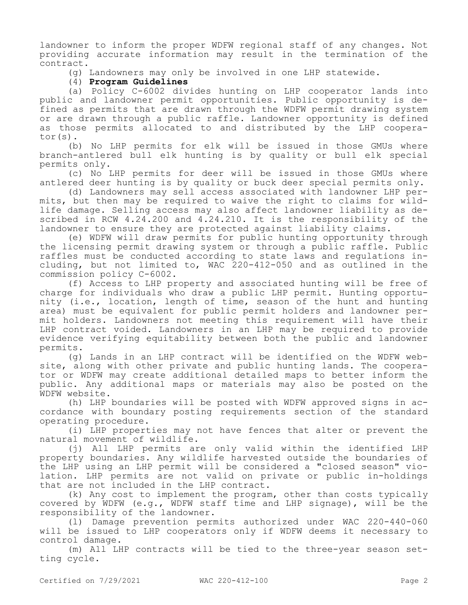landowner to inform the proper WDFW regional staff of any changes. Not providing accurate information may result in the termination of the contract.

(g) Landowners may only be involved in one LHP statewide.

# (4) **Program Guidelines**

(a) Policy C-6002 divides hunting on LHP cooperator lands into public and landowner permit opportunities. Public opportunity is defined as permits that are drawn through the WDFW permit drawing system or are drawn through a public raffle. Landowner opportunity is defined as those permits allocated to and distributed by the LHP cooperator(s).

(b) No LHP permits for elk will be issued in those GMUs where branch-antlered bull elk hunting is by quality or bull elk special permits only.

(c) No LHP permits for deer will be issued in those GMUs where antlered deer hunting is by quality or buck deer special permits only.

(d) Landowners may sell access associated with landowner LHP permits, but then may be required to waive the right to claims for wildlife damage. Selling access may also affect landowner liability as described in RCW 4.24.200 and 4.24.210. It is the responsibility of the landowner to ensure they are protected against liability claims.

(e) WDFW will draw permits for public hunting opportunity through the licensing permit drawing system or through a public raffle. Public raffles must be conducted according to state laws and regulations including, but not limited to, WAC 220-412-050 and as outlined in the commission policy C-6002.

(f) Access to LHP property and associated hunting will be free of charge for individuals who draw a public LHP permit. Hunting opportunity (i.e., location, length of time, season of the hunt and hunting area) must be equivalent for public permit holders and landowner permit holders. Landowners not meeting this requirement will have their LHP contract voided. Landowners in an LHP may be required to provide evidence verifying equitability between both the public and landowner permits.

(g) Lands in an LHP contract will be identified on the WDFW website, along with other private and public hunting lands. The cooperator or WDFW may create additional detailed maps to better inform the public. Any additional maps or materials may also be posted on the WDFW website.

(h) LHP boundaries will be posted with WDFW approved signs in accordance with boundary posting requirements section of the standard operating procedure.

(i) LHP properties may not have fences that alter or prevent the natural movement of wildlife.

(j) All LHP permits are only valid within the identified LHP property boundaries. Any wildlife harvested outside the boundaries of the LHP using an LHP permit will be considered a "closed season" violation. LHP permits are not valid on private or public in-holdings that are not included in the LHP contract.

(k) Any cost to implement the program, other than costs typically covered by WDFW (e.g., WDFW staff time and LHP signage), will be the responsibility of the landowner.

(l) Damage prevention permits authorized under WAC 220-440-060 will be issued to LHP cooperators only if WDFW deems it necessary to control damage.

(m) All LHP contracts will be tied to the three-year season setting cycle.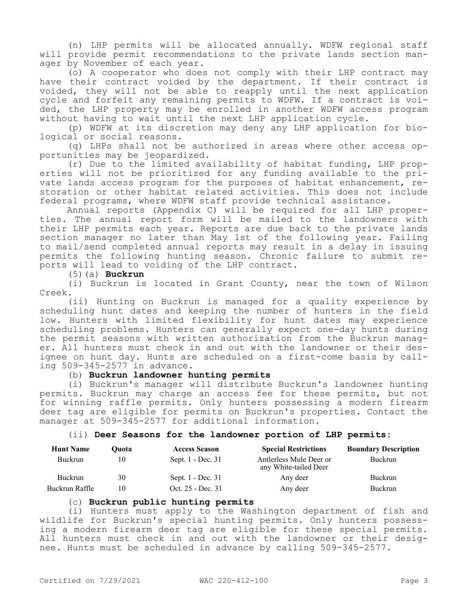(n) LHP permits will be allocated annually. WDFW regional staff will provide permit recommendations to the private lands section manager by November of each year.

(o) A cooperator who does not comply with their LHP contract may have their contract voided by the department. If their contract is voided, they will not be able to reapply until the next application cycle and forfeit any remaining permits to WDFW. If a contract is voided, the LHP property may be enrolled in another WDFW access program without having to wait until the next LHP application cycle.

(p) WDFW at its discretion may deny any LHP application for biological or social reasons.

(q) LHPs shall not be authorized in areas where other access opportunities may be jeopardized.

(r) Due to the limited availability of habitat funding, LHP properties will not be prioritized for any funding available to the private lands access program for the purposes of habitat enhancement, restoration or other habitat related activities. This does not include federal programs, where WDFW staff provide technical assistance.

Annual reports (Appendix C) will be required for all LHP properties. The annual report form will be mailed to the landowners with their LHP permits each year. Reports are due back to the private lands section manager no later than May 1st of the following year. Failing to mail/send completed annual reports may result in a delay in issuing permits the following hunting season. Chronic failure to submit reports will lead to voiding of the LHP contract.

(5)(a) **Buckrun**

(i) Buckrun is located in Grant County, near the town of Wilson Creek.

(ii) Hunting on Buckrun is managed for a quality experience by scheduling hunt dates and keeping the number of hunters in the field low. Hunters with limited flexibility for hunt dates may experience scheduling problems. Hunters can generally expect one-day hunts during the permit seasons with written authorization from the Buckrun manager. All hunters must check in and out with the landowner or their designee on hunt day. Hunts are scheduled on a first-come basis by calling 509-345-2577 in advance.

# (b) **Buckrun landowner hunting permits**

(i) Buckrun's manager will distribute Buckrun's landowner hunting permits. Buckrun may charge an access fee for these permits, but not for winning raffle permits. Only hunters possessing a modern firearm deer tag are eligible for permits on Buckrun's properties. Contact the manager at 509-345-2577 for additional information.

(ii) **Deer Seasons for the landowner portion of LHP permits:**

| <b>Hunt Name</b> | Ouota | <b>Access Season</b> | <b>Special Restrictions</b>                      | <b>Boundary Description</b> |
|------------------|-------|----------------------|--------------------------------------------------|-----------------------------|
| <b>Buckrun</b>   | 10    | Sept. 1 - Dec. 31    | Antlerless Mule Deer or<br>any White-tailed Deer | Buckrun                     |
| Buckrun          | 30    | Sept. 1 - Dec. 31    | Any deer                                         | Buckrun                     |
| Buckrun Raffle   | 10    | Oct. 25 - Dec. 31    | Any deer                                         | Buckrun                     |

#### (c) **Buckrun public hunting permits**

(i) Hunters must apply to the Washington department of fish and wildlife for Buckrun's special hunting permits. Only hunters possessing a modern firearm deer tag are eligible for these special permits. All hunters must check in and out with the landowner or their designee. Hunts must be scheduled in advance by calling 509-345-2577.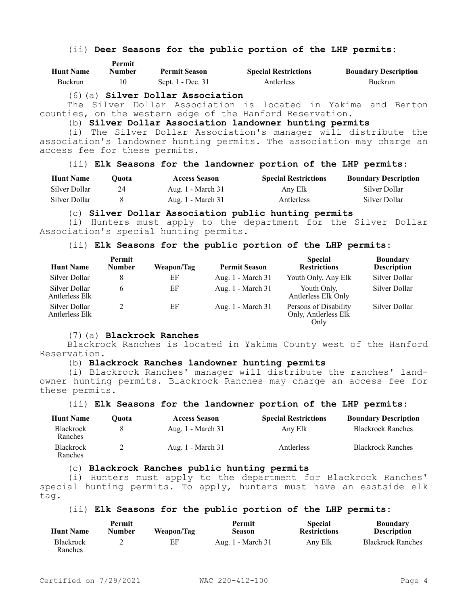# (ii) **Deer Seasons for the public portion of the LHP permits:**

| <b>Hunt Name</b> | .<br>Number | <b>Permit Season</b> | <b>Special Restrictions</b> | <b>Boundary Description</b> |
|------------------|-------------|----------------------|-----------------------------|-----------------------------|
| Buckrun          |             | Sept. 1 - Dec. 31    | Antlerless                  | Buckrun                     |

#### (6)(a) **Silver Dollar Association**

**Permit** 

The Silver Dollar Association is located in Yakima and Benton counties, on the western edge of the Hanford Reservation.

# (b) **Silver Dollar Association landowner hunting permits**

(i) The Silver Dollar Association's manager will distribute the association's landowner hunting permits. The association may charge an access fee for these permits.

# (ii) **Elk Seasons for the landowner portion of the LHP permits:**

| <b>Hunt Name</b> | Ouota- | <b>Access Season</b> | <b>Special Restrictions</b> | <b>Boundary Description</b> |
|------------------|--------|----------------------|-----------------------------|-----------------------------|
| Silver Dollar    |        | Aug. 1 - March 31    | Any Elk                     | Silver Dollar               |
| Silver Dollar    |        | Aug. $1 - March 31$  | Antlerless                  | Silver Dollar               |

#### (c) **Silver Dollar Association public hunting permits**

(i) Hunters must apply to the department for the Silver Dollar Association's special hunting permits.

# (ii) **Elk Seasons for the public portion of the LHP permits:**

| <b>Hunt Name</b>                | Permit<br><b>Number</b> | Weapon/Tag | <b>Permit Season</b> | <b>Special</b><br><b>Restrictions</b>                 | <b>Boundary</b><br><b>Description</b> |
|---------------------------------|-------------------------|------------|----------------------|-------------------------------------------------------|---------------------------------------|
| Silver Dollar                   |                         | ΕF         | Aug. 1 - March 31    | Youth Only, Any Elk                                   | Silver Dollar                         |
| Silver Dollar<br>Antlerless Elk |                         | EF         | Aug. 1 - March 31    | Youth Only,<br>Antlerless Elk Only                    | Silver Dollar                         |
| Silver Dollar<br>Antlerless Elk |                         | ΕF         | Aug. 1 - March 31    | Persons of Disability<br>Only, Antlerless Elk<br>Only | Silver Dollar                         |

#### (7)(a) **Blackrock Ranches**

Blackrock Ranches is located in Yakima County west of the Hanford Reservation.

# (b) **Blackrock Ranches landowner hunting permits**

(i) Blackrock Ranches' manager will distribute the ranches' landowner hunting permits. Blackrock Ranches may charge an access fee for these permits.

# (ii) **Elk Seasons for the landowner portion of the LHP permits:**

| <b>Hunt Name</b>            | Ouota- | <b>Access Season</b> | <b>Special Restrictions</b> | <b>Boundary Description</b> |
|-----------------------------|--------|----------------------|-----------------------------|-----------------------------|
| <b>Blackrock</b><br>Ranches |        | Aug. 1 - March 31    | Any Elk                     | <b>Blackrock Ranches</b>    |
| <b>Blackrock</b><br>Ranches |        | Aug. 1 - March 31    | Antlerless                  | <b>Blackrock Ranches</b>    |

## (c) **Blackrock Ranches public hunting permits**

(i) Hunters must apply to the department for Blackrock Ranches' special hunting permits. To apply, hunters must have an eastside elk tag.

# (ii) **Elk Seasons for the public portion of the LHP permits:**

| <b>Hunt Name</b>            | <b>Permit</b><br>Number | Weapon/Tag | Permit<br>Season  | <b>Special</b><br><b>Restrictions</b> | <b>Boundary</b><br><b>Description</b> |
|-----------------------------|-------------------------|------------|-------------------|---------------------------------------|---------------------------------------|
| <b>Blackrock</b><br>Ranches |                         | ΕF         | Aug. 1 - March 31 | Any Elk                               | <b>Blackrock Ranches</b>              |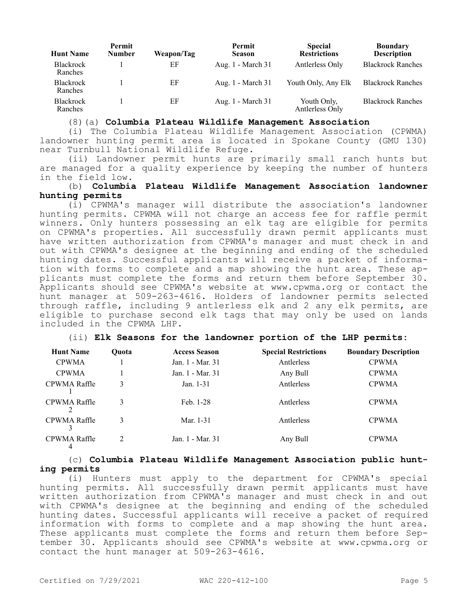| <b>Hunt Name</b>            | <b>Permit</b><br><b>Number</b> | Weapon/Tag | Permit<br><b>Season</b> | <b>Special</b><br><b>Restrictions</b> | <b>Boundary</b><br><b>Description</b> |
|-----------------------------|--------------------------------|------------|-------------------------|---------------------------------------|---------------------------------------|
| <b>Blackrock</b><br>Ranches |                                | ΕF         | Aug. 1 - March 31       | Antlerless Only                       | <b>Blackrock Ranches</b>              |
| Blackrock<br>Ranches        |                                | ΕF         | Aug. 1 - March 31       | Youth Only, Any Elk                   | <b>Blackrock Ranches</b>              |
| <b>Blackrock</b><br>Ranches |                                | ΕF         | Aug. 1 - March 31       | Youth Only,<br>Antlerless Only        | <b>Blackrock Ranches</b>              |

(8)(a) **Columbia Plateau Wildlife Management Association**

(i) The Columbia Plateau Wildlife Management Association (CPWMA) landowner hunting permit area is located in Spokane County (GMU 130) near Turnbull National Wildlife Refuge.

(ii) Landowner permit hunts are primarily small ranch hunts but are managed for a quality experience by keeping the number of hunters in the field low.

## (b) **Columbia Plateau Wildlife Management Association landowner hunting permits**

(i) CPWMA's manager will distribute the association's landowner hunting permits. CPWMA will not charge an access fee for raffle permit winners. Only hunters possessing an elk tag are eligible for permits on CPWMA's properties. All successfully drawn permit applicants must have written authorization from CPWMA's manager and must check in and out with CPWMA's designee at the beginning and ending of the scheduled hunting dates. Successful applicants will receive a packet of information with forms to complete and a map showing the hunt area. These applicants must complete the forms and return them before September 30. Applicants should see CPWMA's website at www.cpwma.org or contact the hunt manager at 509-263-4616. Holders of landowner permits selected through raffle, including 9 antlerless elk and 2 any elk permits, are eligible to purchase second elk tags that may only be used on lands included in the CPWMA LHP.

# (ii) **Elk Seasons for the landowner portion of the LHP permits:**

| <b>Hunt Name</b>  | <b>Ouota</b>                | <b>Access Season</b> | <b>Special Restrictions</b> | <b>Boundary Description</b> |
|-------------------|-----------------------------|----------------------|-----------------------------|-----------------------------|
| <b>CPWMA</b>      |                             | Jan. 1 - Mar. 31     | Antlerless                  | <b>CPWMA</b>                |
| <b>CPWMA</b>      |                             | Jan. 1 - Mar. 31     | Any Bull                    | <b>CPWMA</b>                |
| CPWMA Raffle      | 3                           | Jan. 1-31            | Antlerless                  | <b>CPWMA</b>                |
| CPWMA Raffle      | 3                           | Feb. 1-28            | Antlerless                  | <b>CPWMA</b>                |
| CPWMA Raffle      | 3                           | Mar. 1-31            | Antlerless                  | <b>CPWMA</b>                |
| CPWMA Raffle<br>4 | $\mathcal{D}_{\mathcal{L}}$ | Jan. 1 - Mar. 31     | Any Bull                    | <b>CPWMA</b>                |

(c) **Columbia Plateau Wildlife Management Association public hunting permits**

(i) Hunters must apply to the department for CPWMA's special hunting permits. All successfully drawn permit applicants must have written authorization from CPWMA's manager and must check in and out with CPWMA's designee at the beginning and ending of the scheduled hunting dates. Successful applicants will receive a packet of required information with forms to complete and a map showing the hunt area. These applicants must complete the forms and return them before September 30. Applicants should see CPWMA's website at www.cpwma.org or contact the hunt manager at 509-263-4616.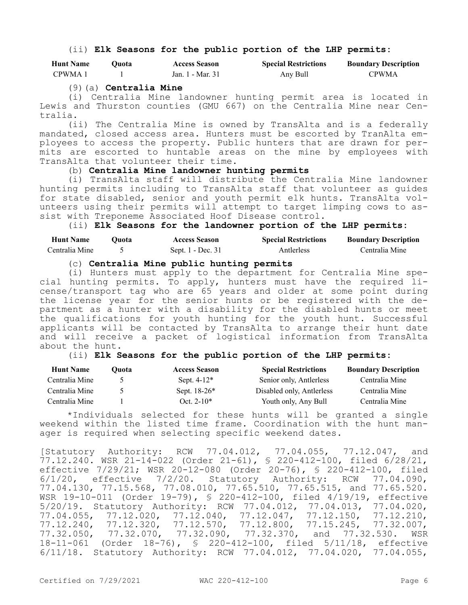## (ii) **Elk Seasons for the public portion of the LHP permits:**

| <b>Hunt Name</b> | 0uota | <b>Access Season</b> | <b>Special Restrictions</b> | <b>Boundary Description</b> |
|------------------|-------|----------------------|-----------------------------|-----------------------------|
| CPWMA 1          |       | Jan. 1 - Mar. 31     | Any Bull                    | <b>CPWMA</b>                |

## (9)(a) **Centralia Mine**

(i) Centralia Mine landowner hunting permit area is located in Lewis and Thurston counties (GMU 667) on the Centralia Mine near Centralia.

(ii) The Centralia Mine is owned by TransAlta and is a federally mandated, closed access area. Hunters must be escorted by TranAlta employees to access the property. Public hunters that are drawn for permits are escorted to huntable areas on the mine by employees with TransAlta that volunteer their time.

# (b) **Centralia Mine landowner hunting permits**

(i) TransAlta staff will distribute the Centralia Mine landowner hunting permits including to TransAlta staff that volunteer as guides for state disabled, senior and youth permit elk hunts. TransAlta volunteers using their permits will attempt to target limping cows to assist with Treponeme Associated Hoof Disease control.

(ii) **Elk Seasons for the landowner portion of the LHP permits:**

| <b>Hunt Name</b> | 'Juota | <b>Access Season</b> | <b>Special Restrictions</b> | <b>Boundary Description</b> |
|------------------|--------|----------------------|-----------------------------|-----------------------------|
| Centralia Mine   |        | Sept. 1 - Dec. 31    | Antlerless                  | Centralia Mine              |

## (c) **Centralia Mine public hunting permits**

(i) Hunters must apply to the department for Centralia Mine special hunting permits. To apply, hunters must have the required license/transport tag who are 65 years and older at some point during the license year for the senior hunts or be registered with the department as a hunter with a disability for the disabled hunts or meet the qualifications for youth hunting for the youth hunt. Successful applicants will be contacted by TransAlta to arrange their hunt date and will receive a packet of logistical information from TransAlta about the hunt.

## (ii) **Elk Seasons for the public portion of the LHP permits:**

| <b>Hunt Name</b> | Ouota | <b>Access Season</b> | <b>Special Restrictions</b> | <b>Boundary Description</b> |
|------------------|-------|----------------------|-----------------------------|-----------------------------|
| Centralia Mine   |       | Sept. $4-12^*$       | Senior only, Antlerless     | Centralia Mine              |
| Centralia Mine   |       | Sept. $18-26*$       | Disabled only, Antlerless   | Centralia Mine              |
| Centralia Mine   |       | Oct. $2-10*$         | Youth only, Any Bull        | Centralia Mine              |

\*Individuals selected for these hunts will be granted a single weekend within the listed time frame. Coordination with the hunt manager is required when selecting specific weekend dates.

[Statutory Authority: RCW 77.04.012, 77.04.055, 77.12.047, and 77.12.240. WSR 21-14-022 (Order 21-61), § 220-412-100, filed 6/28/21, effective 7/29/21; WSR 20-12-080 (Order 20-76), § 220-412-100, filed 6/1/20, effective 7/2/20. Statutory Authority: RCW 77.04.090, 77.04.130, 77.15.568, 77.08.010, 77.65.510, 77.65.515, and 77.65.520. WSR 19-10-011 (Order 19-79), § 220-412-100, filed 4/19/19, effective 5/20/19. Statutory Authority: RCW 77.04.012, 77.04.013, 77.04.020, 77.04.055, 77.12.020, 77.12.040, 77.12.047, 77.12.150, 77.12.210, 77.12.240, 77.12.320, 77.12.570, 77.12.800, 77.15.245, 77.32.007, 77.32.050, 77.32.070, 77.32.090, 77.32.370, and 77.32.530. WSR 18-11-061 (Order 18-76), § 220-412-100, filed 5/11/18, effective 6/11/18. Statutory Authority: RCW 77.04.012, 77.04.020, 77.04.055,